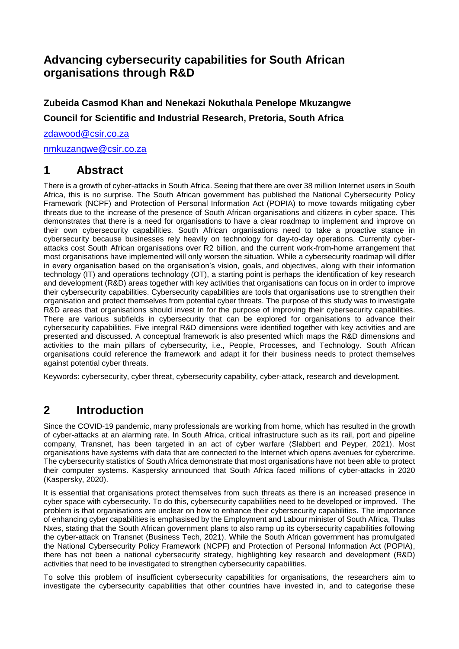## **Advancing cybersecurity capabilities for South African organisations through R&D**

**Zubeida Casmod Khan and Nenekazi Nokuthala Penelope Mkuzangwe Council for Scientific and Industrial Research, Pretoria, South Africa**

[zdawood@csir.co.za](mailto:zdawood@csir.co.za)

[nmkuzangwe@csir.co.za](mailto:nmkuzangwe@csir.co.za)

## **1 Abstract**

There is a growth of cyber-attacks in South Africa. Seeing that there are over 38 million Internet users in South Africa, this is no surprise. The South African government has published the National Cybersecurity Policy Framework (NCPF) and Protection of Personal Information Act (POPIA) to move towards mitigating cyber threats due to the increase of the presence of South African organisations and citizens in cyber space. This demonstrates that there is a need for organisations to have a clear roadmap to implement and improve on their own cybersecurity capabilities. South African organisations need to take a proactive stance in cybersecurity because businesses rely heavily on technology for day-to-day operations. Currently cyberattacks cost South African organisations over R2 billion, and the current work-from-home arrangement that most organisations have implemented will only worsen the situation. While a cybersecurity roadmap will differ in every organisation based on the organisation's vision, goals, and objectives, along with their information technology (IT) and operations technology (OT), a starting point is perhaps the identification of key research and development (R&D) areas together with key activities that organisations can focus on in order to improve their cybersecurity capabilities. Cybersecurity capabilities are tools that organisations use to strengthen their organisation and protect themselves from potential cyber threats. The purpose of this study was to investigate R&D areas that organisations should invest in for the purpose of improving their cybersecurity capabilities. There are various subfields in cybersecurity that can be explored for organisations to advance their cybersecurity capabilities. Five integral R&D dimensions were identified together with key activities and are presented and discussed. A conceptual framework is also presented which maps the R&D dimensions and activities to the main pillars of cybersecurity, i.e., People, Processes, and Technology. South African organisations could reference the framework and adapt it for their business needs to protect themselves against potential cyber threats.

Keywords: cybersecurity, cyber threat, cybersecurity capability, cyber-attack, research and development.

# **2 Introduction**

Since the COVID-19 pandemic, many professionals are working from home, which has resulted in the growth of cyber-attacks at an alarming rate. In South Africa, critical infrastructure such as its rail, port and pipeline company, Transnet, has been targeted in an act of cyber warfare (Slabbert and Peyper, 2021). Most organisations have systems with data that are connected to the Internet which opens avenues for cybercrime. The cybersecurity statistics of South Africa demonstrate that most organisations have not been able to protect their computer systems. Kaspersky announced that South Africa faced millions of cyber-attacks in 2020 (Kaspersky, 2020).

It is essential that organisations protect themselves from such threats as there is an increased presence in cyber space with cybersecurity. To do this, cybersecurity capabilities need to be developed or improved. The problem is that organisations are unclear on how to enhance their cybersecurity capabilities. The importance of enhancing cyber capabilities is emphasised by the Employment and Labour minister of South Africa, Thulas Nxes, stating that the South African government plans to also ramp up its cybersecurity capabilities following the cyber-attack on Transnet (Business Tech, 2021). While the South African government has promulgated the National Cybersecurity Policy Framework (NCPF) and Protection of Personal Information Act (POPIA), there has not been a national cybersecurity strategy, highlighting key research and development (R&D) activities that need to be investigated to strengthen cybersecurity capabilities.

To solve this problem of insufficient cybersecurity capabilities for organisations, the researchers aim to investigate the cybersecurity capabilities that other countries have invested in, and to categorise these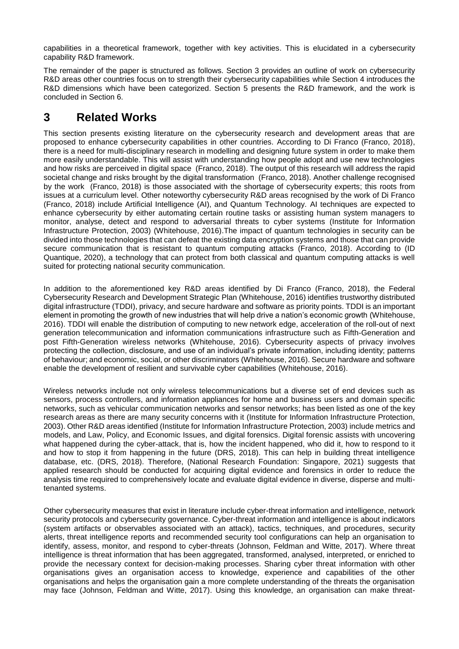capabilities in a theoretical framework, together with key activities. This is elucidated in a cybersecurity capability R&D framework.

The remainder of the paper is structured as follows. Section 3 provides an outline of work on cybersecurity R&D areas other countries focus on to strength their cybersecurity capabilities while Section 4 introduces the R&D dimensions which have been categorized. Section 5 presents the R&D framework, and the work is concluded in Section 6.

## **3 Related Works**

This section presents existing literature on the cybersecurity research and development areas that are proposed to enhance cybersecurity capabilities in other countries. According to Di Franco (Franco, 2018), there is a need for multi-disciplinary research in modelling and designing future system in order to make them more easily understandable. This will assist with understanding how people adopt and use new technologies and how risks are perceived in digital space (Franco, 2018). The output of this research will address the rapid societal change and risks brought by the digital transformation (Franco, 2018). Another challenge recognised by the work (Franco, 2018) is those associated with the shortage of cybersecurity experts; this roots from issues at a curriculum level. Other noteworthy cybersecurity R&D areas recognised by the work of Di Franco (Franco, 2018) include Artificial Intelligence (AI), and Quantum Technology. AI techniques are expected to enhance cybersecurity by either automating certain routine tasks or assisting human system managers to monitor, analyse, detect and respond to adversarial threats to cyber systems (Institute for Information Infrastructure Protection, 2003) (Whitehouse, 2016).The impact of quantum technologies in security can be divided into those technologies that can defeat the existing data encryption systems and those that can provide secure communication that is resistant to quantum computing attacks (Franco, 2018). According to (ID Quantique, 2020), a technology that can protect from both classical and quantum computing attacks is well suited for protecting national security communication.

In addition to the aforementioned key R&D areas identified by Di Franco (Franco, 2018), the Federal Cybersecurity Research and Development Strategic Plan (Whitehouse, 2016) identifies trustworthy distributed digital infrastructure (TDDI), privacy, and secure hardware and software as priority points. TDDI is an important element in promoting the growth of new industries that will help drive a nation's economic growth (Whitehouse, 2016). TDDI will enable the distribution of computing to new network edge, acceleration of the roll-out of next generation telecommunication and information communications infrastructure such as Fifth-Generation and post Fifth-Generation wireless networks (Whitehouse, 2016). Cybersecurity aspects of privacy involves protecting the collection, disclosure, and use of an individual's private information, including identity; patterns of behaviour; and economic, social, or other discriminators (Whitehouse, 2016). Secure hardware and software enable the development of resilient and survivable cyber capabilities (Whitehouse, 2016).

Wireless networks include not only wireless telecommunications but a diverse set of end devices such as sensors, process controllers, and information appliances for home and business users and domain specific networks, such as vehicular communication networks and sensor networks; has been listed as one of the key research areas as there are many security concerns with it (Institute for Information Infrastructure Protection, 2003). Other R&D areas identified (Institute for Information Infrastructure Protection, 2003) include metrics and models, and Law, Policy, and Economic Issues, and digital forensics. Digital forensic assists with uncovering what happened during the cyber-attack, that is, how the incident happened, who did it, how to respond to it and how to stop it from happening in the future (DRS, 2018). This can help in building threat intelligence database, etc. (DRS, 2018). Therefore, (National Research Foundation: Singapore, 2021) suggests that applied research should be conducted for acquiring digital evidence and forensics in order to reduce the analysis time required to comprehensively locate and evaluate digital evidence in diverse, disperse and multitenanted systems.

Other cybersecurity measures that exist in literature include cyber-threat information and intelligence, network security protocols and cybersecurity governance. Cyber-threat information and intelligence is about indicators (system artifacts or observables associated with an attack), tactics, techniques, and procedures, security alerts, threat intelligence reports and recommended security tool configurations can help an organisation to identify, assess, monitor, and respond to cyber-threats (Johnson, Feldman and Witte, 2017). Where threat intelligence is threat information that has been aggregated, transformed, analysed, interpreted, or enriched to provide the necessary context for decision-making processes. Sharing cyber threat information with other organisations gives an organisation access to knowledge, experience and capabilities of the other organisations and helps the organisation gain a more complete understanding of the threats the organisation may face (Johnson, Feldman and Witte, 2017). Using this knowledge, an organisation can make threat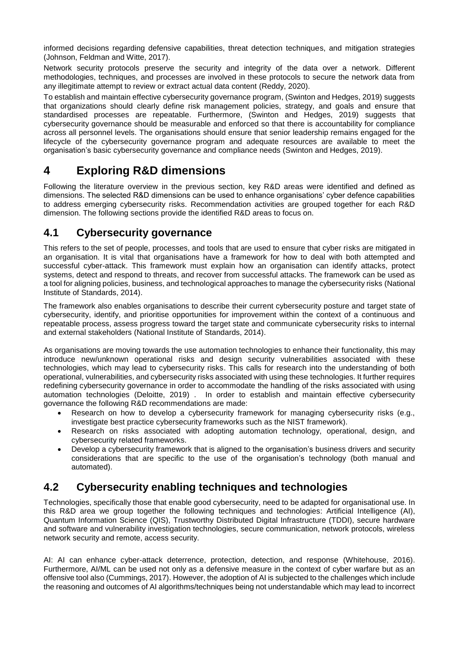informed decisions regarding defensive capabilities, threat detection techniques, and mitigation strategies (Johnson, Feldman and Witte, 2017).

Network security protocols preserve the security and integrity of the data over a network. Different methodologies, techniques, and processes are involved in these protocols to secure the network data from any illegitimate attempt to review or extract actual data content (Reddy, 2020).

To establish and maintain effective cybersecurity governance program, (Swinton and Hedges, 2019) suggests that organizations should clearly define risk management policies, strategy, and goals and ensure that standardised processes are repeatable. Furthermore, (Swinton and Hedges, 2019) suggests that cybersecurity governance should be measurable and enforced so that there is accountability for compliance across all personnel levels. The organisations should ensure that senior leadership remains engaged for the lifecycle of the cybersecurity governance program and adequate resources are available to meet the organisation's basic cybersecurity governance and compliance needs (Swinton and Hedges, 2019).

# <span id="page-2-0"></span>**4 Exploring R&D dimensions**

Following the literature overview in the previous section, key R&D areas were identified and defined as dimensions. The selected R&D dimensions can be used to enhance organisations' cyber defence capabilities to address emerging cybersecurity risks. Recommendation activities are grouped together for each R&D dimension. The following sections provide the identified R&D areas to focus on.

## **4.1 Cybersecurity governance**

This refers to the set of people, processes, and tools that are used to ensure that cyber risks are mitigated in an organisation. It is vital that organisations have a framework for how to deal with both attempted and successful cyber-attack. This framework must explain how an organisation can identify attacks, protect systems, detect and respond to threats, and recover from successful attacks. The framework can be used as a tool for aligning policies, business, and technological approaches to manage the cybersecurity risks (National Institute of Standards, 2014).

The framework also enables organisations to describe their current cybersecurity posture and target state of cybersecurity, identify, and prioritise opportunities for improvement within the context of a continuous and repeatable process, assess progress toward the target state and communicate cybersecurity risks to internal and external stakeholders (National Institute of Standards, 2014).

As organisations are moving towards the use automation technologies to enhance their functionality, this may introduce new/unknown operational risks and design security vulnerabilities associated with these technologies, which may lead to cybersecurity risks. This calls for research into the understanding of both operational, vulnerabilities, and cybersecurity risks associated with using these technologies. It further requires redefining cybersecurity governance in order to accommodate the handling of the risks associated with using automation technologies (Deloitte, 2019) . In order to establish and maintain effective cybersecurity governance the following R&D recommendations are made:

- Research on how to develop a cybersecurity framework for managing cybersecurity risks (e.g., investigate best practice cybersecurity frameworks such as the NIST framework).
- Research on risks associated with adopting automation technology, operational, design, and cybersecurity related frameworks.
- Develop a cybersecurity framework that is aligned to the organisation's business drivers and security considerations that are specific to the use of the organisation's technology (both manual and automated).

## **4.2 Cybersecurity enabling techniques and technologies**

Technologies, specifically those that enable good cybersecurity, need to be adapted for organisational use. In this R&D area we group together the following techniques and technologies: Artificial Intelligence (AI), Quantum Information Science (QIS), Trustworthy Distributed Digital Infrastructure (TDDI), secure hardware and software and vulnerability investigation technologies, secure communication, network protocols, wireless network security and remote, access security.

AI: AI can enhance cyber-attack deterrence, protection, detection, and response (Whitehouse, 2016). Furthermore, AI/ML can be used not only as a defensive measure in the context of cyber warfare but as an offensive tool also (Cummings, 2017). However, the adoption of AI is subjected to the challenges which include the reasoning and outcomes of AI algorithms/techniques being not understandable which may lead to incorrect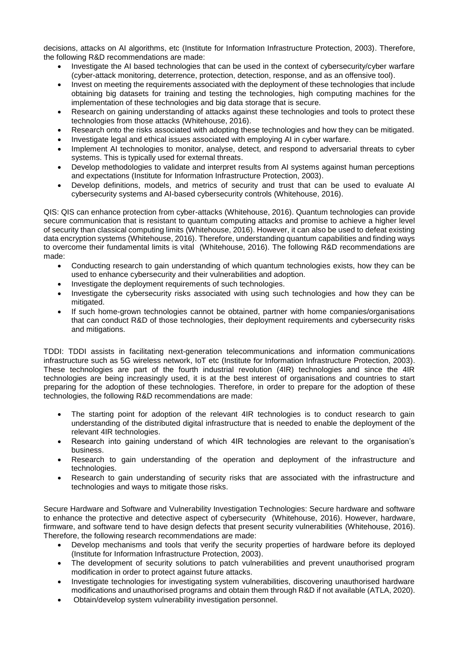decisions, attacks on AI algorithms, etc (Institute for Information Infrastructure Protection, 2003). Therefore, the following R&D recommendations are made:

- Investigate the AI based technologies that can be used in the context of cybersecurity/cyber warfare (cyber-attack monitoring, deterrence, protection, detection, response, and as an offensive tool).
- Invest on meeting the requirements associated with the deployment of these technologies that include obtaining big datasets for training and testing the technologies, high computing machines for the implementation of these technologies and big data storage that is secure.
- Research on gaining understanding of attacks against these technologies and tools to protect these technologies from those attacks (Whitehouse, 2016).
- Research onto the risks associated with adopting these technologies and how they can be mitigated.
- Investigate legal and ethical issues associated with employing AI in cyber warfare.
- Implement AI technologies to monitor, analyse, detect, and respond to adversarial threats to cyber systems. This is typically used for external threats.
- Develop methodologies to validate and interpret results from AI systems against human perceptions and expectations (Institute for Information Infrastructure Protection, 2003).
- Develop definitions, models, and metrics of security and trust that can be used to evaluate AI cybersecurity systems and AI-based cybersecurity controls (Whitehouse, 2016).

QIS: QIS can enhance protection from cyber-attacks (Whitehouse, 2016). Quantum technologies can provide secure communication that is resistant to quantum computing attacks and promise to achieve a higher level of security than classical computing limits (Whitehouse, 2016). However, it can also be used to defeat existing data encryption systems (Whitehouse, 2016). Therefore, understanding quantum capabilities and finding ways to overcome their fundamental limits is vital (Whitehouse, 2016). The following R&D recommendations are made:

- Conducting research to gain understanding of which quantum technologies exists, how they can be used to enhance cybersecurity and their vulnerabilities and adoption.
- Investigate the deployment requirements of such technologies.
- Investigate the cybersecurity risks associated with using such technologies and how they can be mitigated.
- If such home-grown technologies cannot be obtained, partner with home companies/organisations that can conduct R&D of those technologies, their deployment requirements and cybersecurity risks and mitigations.

TDDI: TDDI assists in facilitating next-generation telecommunications and information communications infrastructure such as 5G wireless network, IoT etc (Institute for Information Infrastructure Protection, 2003). These technologies are part of the fourth industrial revolution (4IR) technologies and since the 4IR technologies are being increasingly used, it is at the best interest of organisations and countries to start preparing for the adoption of these technologies. Therefore, in order to prepare for the adoption of these technologies, the following R&D recommendations are made:

- The starting point for adoption of the relevant 4IR technologies is to conduct research to gain understanding of the distributed digital infrastructure that is needed to enable the deployment of the relevant 4IR technologies.
- Research into gaining understand of which 4IR technologies are relevant to the organisation's business.
- Research to gain understanding of the operation and deployment of the infrastructure and technologies.
- Research to gain understanding of security risks that are associated with the infrastructure and technologies and ways to mitigate those risks.

Secure Hardware and Software and Vulnerability Investigation Technologies: Secure hardware and software to enhance the protective and detective aspect of cybersecurity (Whitehouse, 2016). However, hardware, firmware, and software tend to have design defects that present security vulnerabilities (Whitehouse, 2016). Therefore, the following research recommendations are made:

- Develop mechanisms and tools that verify the security properties of hardware before its deployed (Institute for Information Infrastructure Protection, 2003).
- The development of security solutions to patch vulnerabilities and prevent unauthorised program modification in order to protect against future attacks.
- Investigate technologies for investigating system vulnerabilities, discovering unauthorised hardware modifications and unauthorised programs and obtain them through R&D if not available (ATLA, 2020).
- Obtain/develop system vulnerability investigation personnel.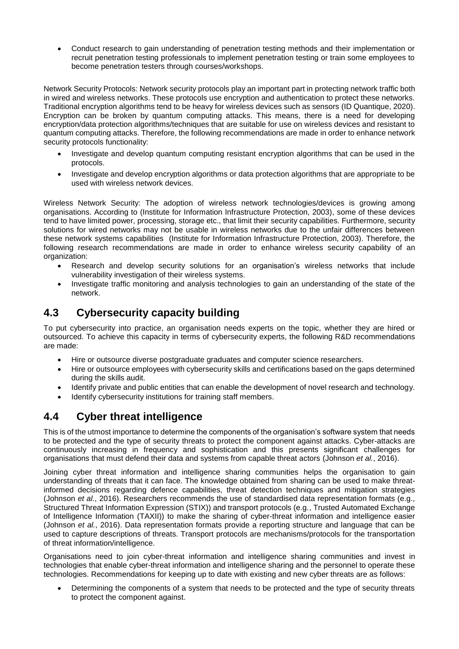Conduct research to gain understanding of penetration testing methods and their implementation or recruit penetration testing professionals to implement penetration testing or train some employees to become penetration testers through courses/workshops.

Network Security Protocols: Network security protocols play an important part in protecting network traffic both in wired and wireless networks. These protocols use encryption and authentication to protect these networks. Traditional encryption algorithms tend to be heavy for wireless devices such as sensors (ID Quantique, 2020). Encryption can be broken by quantum computing attacks. This means, there is a need for developing encryption/data protection algorithms/techniques that are suitable for use on wireless devices and resistant to quantum computing attacks. Therefore, the following recommendations are made in order to enhance network security protocols functionality:

- Investigate and develop quantum computing resistant encryption algorithms that can be used in the protocols.
- Investigate and develop encryption algorithms or data protection algorithms that are appropriate to be used with wireless network devices.

Wireless Network Security: The adoption of wireless network technologies/devices is growing among organisations. According to (Institute for Information Infrastructure Protection, 2003), some of these devices tend to have limited power, processing, storage etc., that limit their security capabilities. Furthermore, security solutions for wired networks may not be usable in wireless networks due to the unfair differences between these network systems capabilities (Institute for Information Infrastructure Protection, 2003). Therefore, the following research recommendations are made in order to enhance wireless security capability of an organization:

- Research and develop security solutions for an organisation's wireless networks that include vulnerability investigation of their wireless systems.
- Investigate traffic monitoring and analysis technologies to gain an understanding of the state of the network.

## **4.3 Cybersecurity capacity building**

To put cybersecurity into practice, an organisation needs experts on the topic, whether they are hired or outsourced. To achieve this capacity in terms of cybersecurity experts, the following R&D recommendations are made:

- Hire or outsource diverse postgraduate graduates and computer science researchers.
- Hire or outsource employees with cybersecurity skills and certifications based on the gaps determined during the skills audit.
- Identify private and public entities that can enable the development of novel research and technology.
- Identify cybersecurity institutions for training staff members.

## **4.4 Cyber threat intelligence**

This is of the utmost importance to determine the components of the organisation's software system that needs to be protected and the type of security threats to protect the component against attacks. Cyber-attacks are continuously increasing in frequency and sophistication and this presents significant challenges for organisations that must defend their data and systems from capable threat actors (Johnson *et al.*, 2016).

Joining cyber threat information and intelligence sharing communities helps the organisation to gain understanding of threats that it can face. The knowledge obtained from sharing can be used to make threatinformed decisions regarding defence capabilities, threat detection techniques and mitigation strategies (Johnson *et al.*, 2016). Researchers recommends the use of standardised data representation formats (e.g., Structured Threat Information Expression (STIX)) and transport protocols (e.g., Trusted Automated Exchange of Intelligence Information (TAXII)) to make the sharing of cyber-threat information and intelligence easier (Johnson *et al.*, 2016). Data representation formats provide a reporting structure and language that can be used to capture descriptions of threats. Transport protocols are mechanisms/protocols for the transportation of threat information/intelligence.

Organisations need to join cyber-threat information and intelligence sharing communities and invest in technologies that enable cyber-threat information and intelligence sharing and the personnel to operate these technologies. Recommendations for keeping up to date with existing and new cyber threats are as follows:

 Determining the components of a system that needs to be protected and the type of security threats to protect the component against.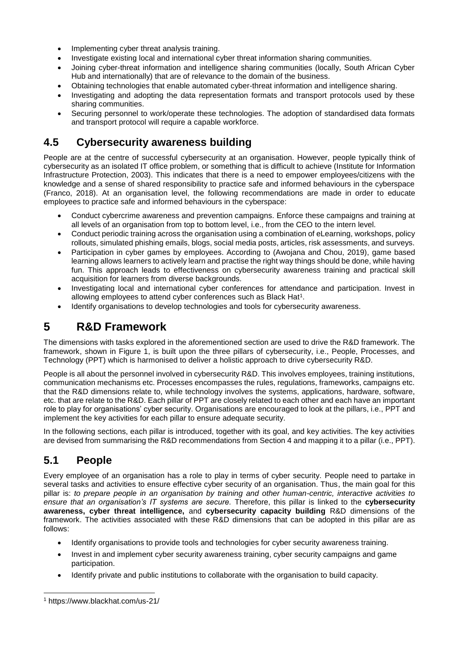- Implementing cyber threat analysis training.
- Investigate existing local and international cyber threat information sharing communities.
- Joining cyber-threat information and intelligence sharing communities (locally, South African Cyber Hub and internationally) that are of relevance to the domain of the business.
- Obtaining technologies that enable automated cyber-threat information and intelligence sharing.
- Investigating and adopting the data representation formats and transport protocols used by these sharing communities.
- Securing personnel to work/operate these technologies. The adoption of standardised data formats and transport protocol will require a capable workforce.

#### **4.5 Cybersecurity awareness building**

People are at the centre of successful cybersecurity at an organisation. However, people typically think of cybersecurity as an isolated IT office problem, or something that is difficult to achieve (Institute for Information Infrastructure Protection, 2003). This indicates that there is a need to empower employees/citizens with the knowledge and a sense of shared responsibility to practice safe and informed behaviours in the cyberspace (Franco, 2018). At an organisation level, the following recommendations are made in order to educate employees to practice safe and informed behaviours in the cyberspace:

- Conduct cybercrime awareness and prevention campaigns. Enforce these campaigns and training at all levels of an organisation from top to bottom level, i.e., from the CEO to the intern level.
- Conduct periodic training across the organisation using a combination of eLearning, workshops, policy rollouts, simulated phishing emails, blogs, social media posts, articles, risk assessments, and surveys.
- Participation in cyber games by employees. According to (Awojana and Chou, 2019), game based learning allows learners to actively learn and practise the right way things should be done, while having fun. This approach leads to effectiveness on cybersecurity awareness training and practical skill acquisition for learners from diverse backgrounds.
- Investigating local and international cyber conferences for attendance and participation. Invest in allowing employees to attend cyber conferences such as Black Hat<sup>1</sup>.
- Identify organisations to develop technologies and tools for cybersecurity awareness.

#### **5 R&D Framework**

The dimensions with tasks explored in the aforementioned section are used to drive the R&D framework. The framework, shown in [Figure 1,](#page-6-0) is built upon the three pillars of cybersecurity, i.e., People, Processes, and Technology (PPT) which is harmonised to deliver a holistic approach to drive cybersecurity R&D.

People is all about the personnel involved in cybersecurity R&D. This involves employees, training institutions, communication mechanisms etc. Processes encompasses the rules, regulations, frameworks, campaigns etc. that the R&D dimensions relate to, while technology involves the systems, applications, hardware, software, etc. that are relate to the R&D. Each pillar of PPT are closely related to each other and each have an important role to play for organisations' cyber security. Organisations are encouraged to look at the pillars, i.e., PPT and implement the key activities for each pillar to ensure adequate security.

In the following sections, each pillar is introduced, together with its goal, and key activities. The key activities are devised from summarising the R&D recommendations from Section [4](#page-2-0) and mapping it to a pillar (i.e., PPT).

#### **5.1 People**

Every employee of an organisation has a role to play in terms of cyber security. People need to partake in several tasks and activities to ensure effective cyber security of an organisation. Thus, the main goal for this pillar is: *to prepare people in an organisation by training and other human-centric, interactive activities to ensure that an organisation's IT systems are secure.* Therefore, this pillar is linked to the **cybersecurity awareness, cyber threat intelligence,** and **cybersecurity capacity building** R&D dimensions of the framework. The activities associated with these R&D dimensions that can be adopted in this pillar are as follows:

- Identify organisations to provide tools and technologies for cyber security awareness training.
- Invest in and implement cyber security awareness training, cyber security campaigns and game participation.
- Identify private and public institutions to collaborate with the organisation to build capacity.

-

<sup>1</sup> https://www.blackhat.com/us-21/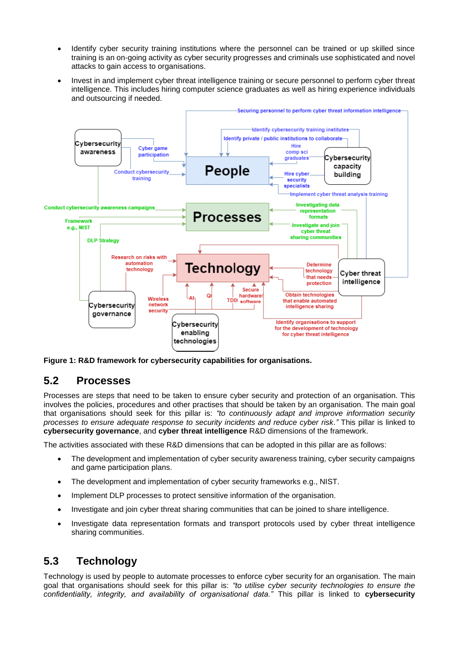- Identify cyber security training institutions where the personnel can be trained or up skilled since training is an on-going activity as cyber security progresses and criminals use sophisticated and novel attacks to gain access to organisations.
- Invest in and implement cyber threat intelligence training or secure personnel to perform cyber threat intelligence. This includes hiring computer science graduates as well as hiring experience individuals and outsourcing if needed.



<span id="page-6-0"></span>**Figure 1: R&D framework for cybersecurity capabilities for organisations.**

#### **5.2 Processes**

Processes are steps that need to be taken to ensure cyber security and protection of an organisation. This involves the policies, procedures and other practises that should be taken by an organisation. The main goal that organisations should seek for this pillar is: *"to continuously adapt and improve information security processes to ensure adequate response to security incidents and reduce cyber risk."* This pillar is linked to **cybersecurity governance**, and **cyber threat intelligence** R&D dimensions of the framework.

The activities associated with these R&D dimensions that can be adopted in this pillar are as follows:

- The development and implementation of cyber security awareness training, cyber security campaigns and game participation plans.
- The development and implementation of cyber security frameworks e.g., NIST.
- Implement DLP processes to protect sensitive information of the organisation.
- Investigate and join cyber threat sharing communities that can be joined to share intelligence.
- Investigate data representation formats and transport protocols used by cyber threat intelligence sharing communities.

#### **5.3 Technology**

Technology is used by people to automate processes to enforce cyber security for an organisation. The main goal that organisations should seek for this pillar is: *"to utilise cyber security technologies to ensure the confidentiality, integrity, and availability of organisational data."* This pillar is linked to **cybersecurity**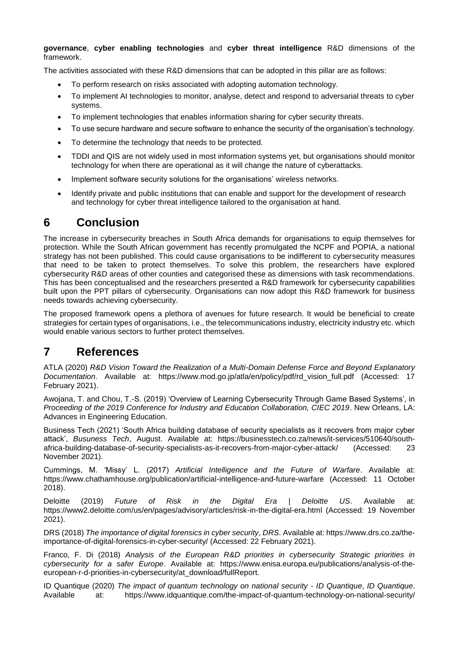**governance**, **cyber enabling technologies** and **cyber threat intelligence** R&D dimensions of the framework.

The activities associated with these R&D dimensions that can be adopted in this pillar are as follows:

- To perform research on risks associated with adopting automation technology.
- To implement AI technologies to monitor, analyse, detect and respond to adversarial threats to cyber systems.
- To implement technologies that enables information sharing for cyber security threats.
- To use secure hardware and secure software to enhance the security of the organisation's technology.
- To determine the technology that needs to be protected.
- TDDI and QIS are not widely used in most information systems yet, but organisations should monitor technology for when there are operational as it will change the nature of cyberattacks.
- Implement software security solutions for the organisations' wireless networks.
- Identify private and public institutions that can enable and support for the development of research and technology for cyber threat intelligence tailored to the organisation at hand.

## **6 Conclusion**

The increase in cybersecurity breaches in South Africa demands for organisations to equip themselves for protection. While the South African government has recently promulgated the NCPF and POPIA, a national strategy has not been published. This could cause organisations to be indifferent to cybersecurity measures that need to be taken to protect themselves. To solve this problem, the researchers have explored cybersecurity R&D areas of other counties and categorised these as dimensions with task recommendations. This has been conceptualised and the researchers presented a R&D framework for cybersecurity capabilities built upon the PPT pillars of cybersecurity. Organisations can now adopt this R&D framework for business needs towards achieving cybersecurity.

The proposed framework opens a plethora of avenues for future research. It would be beneficial to create strategies for certain types of organisations, i.e., the telecommunications industry, electricity industry etc. which would enable various sectors to further protect themselves.

#### **7 References**

ATLA (2020) *R&D Vision Toward the Realization of a Multi-Domain Defense Force and Beyond Explanatory Documentation*. Available at: https://www.mod.go.jp/atla/en/policy/pdf/rd\_vision\_full.pdf (Accessed: 17 February 2021).

Awojana, T. and Chou, T.-S. (2019) 'Overview of Learning Cybersecurity Through Game Based Systems', in *Proceeding of the 2019 Conference for Industry and Education Collaboration, CIEC 2019*. New Orleans, LA: Advances in Engineering Education.

Business Tech (2021) 'South Africa building database of security specialists as it recovers from major cyber attack', *Busuness Tech*, August. Available at: https://businesstech.co.za/news/it-services/510640/southafrica-building-database-of-security-specialists-as-it-recovers-from-major-cyber-attack/ (Accessed: 23 November 2021).

Cummings, M. 'Missy' L. (2017) *Artificial Intelligence and the Future of Warfare*. Available at: https://www.chathamhouse.org/publication/artificial-intelligence-and-future-warfare (Accessed: 11 October 2018).

Deloitte (2019) *Future of Risk in the Digital Era | Deloitte US*. Available at: https://www2.deloitte.com/us/en/pages/advisory/articles/risk-in-the-digital-era.html (Accessed: 19 November 2021).

DRS (2018) *The importance of digital forensics in cyber security*, *DRS*. Available at: https://www.drs.co.za/theimportance-of-digital-forensics-in-cyber-security/ (Accessed: 22 February 2021).

Franco, F. Di (2018) *Analysis of the European R&D priorities in cybersecurity Strategic priorities in cybersecurity for a safer Europe*. Available at: https://www.enisa.europa.eu/publications/analysis-of-theeuropean-r-d-priorities-in-cybersecurity/at\_download/fullReport.

ID Quantique (2020) *The impact of quantum technology on national security - ID Quantique*, *ID Quantique*. Available at: https://www.idquantique.com/the-impact-of-quantum-technology-on-national-security/